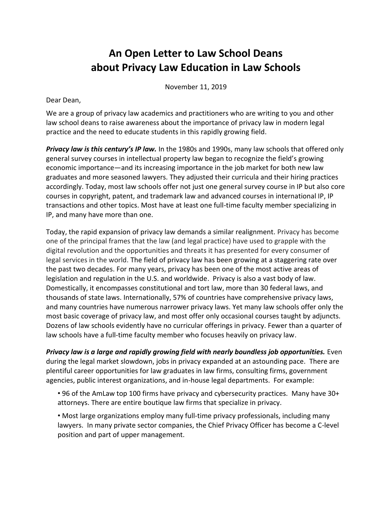## **An Open Letter to Law School Deans about Privacy Law Education in Law Schools**

November 11, 2019

Dear Dean,

We are a group of privacy law academics and practitioners who are writing to you and other law school deans to raise awareness about the importance of privacy law in modern legal practice and the need to educate students in this rapidly growing field.

*Privacy law is this century's IP law.* In the 1980s and 1990s, many law schools that offered only general survey courses in intellectual property law began to recognize the field's growing economic importance—and its increasing importance in the job market for both new law graduates and more seasoned lawyers. They adjusted their curricula and their hiring practices accordingly. Today, most law schools offer not just one general survey course in IP but also core courses in copyright, patent, and trademark law and advanced courses in international IP, IP transactions and other topics. Most have at least one full-time faculty member specializing in IP, and many have more than one.

Today, the rapid expansion of privacy law demands a similar realignment. Privacy has become one of the principal frames that the law (and legal practice) have used to grapple with the digital revolution and the opportunities and threats it has presented for every consumer of legal services in the world. The field of privacy law has been growing at a staggering rate over the past two decades. For many years, privacy has been one of the most active areas of legislation and regulation in the U.S. and worldwide. Privacy is also a vast body of law. Domestically, it encompasses constitutional and tort law, more than 30 federal laws, and thousands of state laws. Internationally, 57% of countries have comprehensive privacy laws, and many countries have numerous narrower privacy laws. Yet many law schools offer only the most basic coverage of privacy law, and most offer only occasional courses taught by adjuncts. Dozens of law schools evidently have no curricular offerings in privacy. Fewer than a quarter of law schools have a full-time faculty member who focuses heavily on privacy law.

**Privacy law is a large and rapidly growing field with nearly boundless job opportunities.** Even during the legal market slowdown, jobs in privacy expanded at an astounding pace. There are plentiful career opportunities for law graduates in law firms, consulting firms, government agencies, public interest organizations, and in-house legal departments. For example:

• 96 of the AmLaw top 100 firms have privacy and cybersecurity practices. Many have 30+ attorneys. There are entire boutique law firms that specialize in privacy.

• Most large organizations employ many full-time privacy professionals, including many lawyers. In many private sector companies, the Chief Privacy Officer has become a C-level position and part of upper management.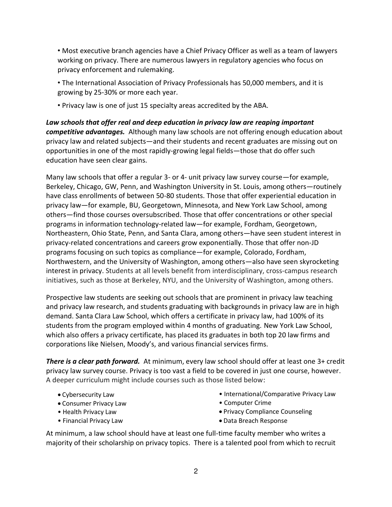• Most executive branch agencies have a Chief Privacy Officer as well as a team of lawyers working on privacy. There are numerous lawyers in regulatory agencies who focus on privacy enforcement and rulemaking.

• The International Association of Privacy Professionals has 50,000 members, and it is growing by 25-30% or more each year.

• Privacy law is one of just 15 specialty areas accredited by the ABA.

*Law schools that offer real and deep education in privacy law are reaping important competitive advantages.* Although many law schools are not offering enough education about privacy law and related subjects—and their students and recent graduates are missing out on opportunities in one of the most rapidly-growing legal fields—those that do offer such education have seen clear gains.

Many law schools that offer a regular 3- or 4- unit privacy law survey course—for example, Berkeley, Chicago, GW, Penn, and Washington University in St. Louis, among others—routinely have class enrollments of between 50-80 students. Those that offer experiential education in privacy law—for example, BU, Georgetown, Minnesota, and New York Law School, among others—find those courses oversubscribed. Those that offer concentrations or other special programs in information technology-related law—for example, Fordham, Georgetown, Northeastern, Ohio State, Penn, and Santa Clara, among others—have seen student interest in privacy-related concentrations and careers grow exponentially. Those that offer non-JD programs focusing on such topics as compliance—for example, Colorado, Fordham, Northwestern, and the University of Washington, among others—also have seen skyrocketing interest in privacy. Students at all levels benefit from interdisciplinary, cross-campus research initiatives, such as those at Berkeley, NYU, and the University of Washington, among others.

Prospective law students are seeking out schools that are prominent in privacy law teaching and privacy law research, and students graduating with backgrounds in privacy law are in high demand. Santa Clara Law School, which offers a certificate in privacy law, had 100% of its students from the program employed within 4 months of graduating. New York Law School, which also offers a privacy certificate, has placed its graduates in both top 20 law firms and corporations like Nielsen, Moody's, and various financial services firms.

*There is a clear path forward.* At minimum, every law school should offer at least one 3+ credit privacy law survey course. Privacy is too vast a field to be covered in just one course, however. A deeper curriculum might include courses such as those listed below:

- Cybersecurity Law
- Consumer Privacy Law
- Health Privacy Law
- Financial Privacy Law
- International/Comparative Privacy Law
- Computer Crime
- Privacy Compliance Counseling
- Data Breach Response

At minimum, a law school should have at least one full-time faculty member who writes a majority of their scholarship on privacy topics. There is a talented pool from which to recruit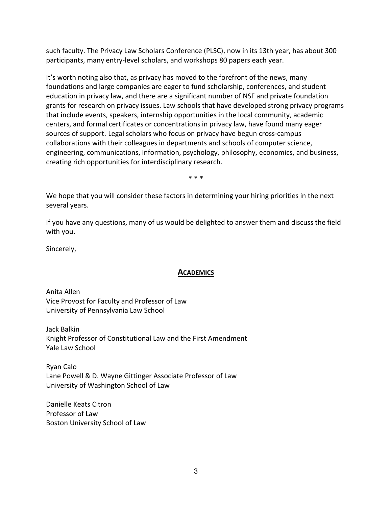such faculty. The Privacy Law Scholars Conference (PLSC), now in its 13th year, has about 300 participants, many entry-level scholars, and workshops 80 papers each year.

It's worth noting also that, as privacy has moved to the forefront of the news, many foundations and large companies are eager to fund scholarship, conferences, and student education in privacy law, and there are a significant number of NSF and private foundation grants for research on privacy issues. Law schools that have developed strong privacy programs that include events, speakers, internship opportunities in the local community, academic centers, and formal certificates or concentrations in privacy law, have found many eager sources of support. Legal scholars who focus on privacy have begun cross-campus collaborations with their colleagues in departments and schools of computer science, engineering, communications, information, psychology, philosophy, economics, and business, creating rich opportunities for interdisciplinary research.

\* \* \*

We hope that you will consider these factors in determining your hiring priorities in the next several years.

If you have any questions, many of us would be delighted to answer them and discuss the field with you.

Sincerely,

## **ACADEMICS**

Anita Allen Vice Provost for Faculty and Professor of Law University of Pennsylvania Law School

Jack Balkin Knight Professor of Constitutional Law and the First Amendment Yale Law School

Ryan Calo Lane Powell & D. Wayne Gittinger Associate Professor of Law University of Washington School of Law

Danielle Keats Citron Professor of Law Boston University School of Law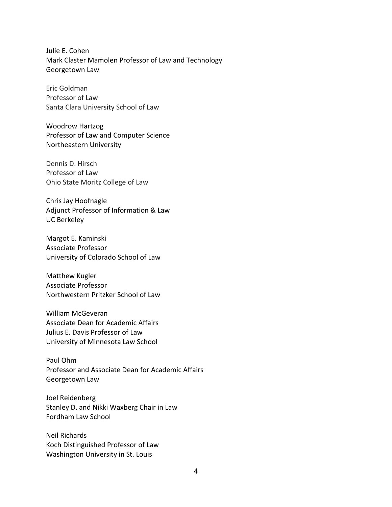Julie E. Cohen Mark Claster Mamolen Professor of Law and Technology Georgetown Law

Eric Goldman Professor of Law Santa Clara University School of Law

Woodrow Hartzog Professor of Law and Computer Science Northeastern University

Dennis D. Hirsch Professor of Law Ohio State Moritz College of Law

Chris Jay Hoofnagle Adjunct Professor of Information & Law UC Berkeley

Margot E. Kaminski Associate Professor University of Colorado School of Law

Matthew Kugler Associate Professor Northwestern Pritzker School of Law

William McGeveran Associate Dean for Academic Affairs Julius E. Davis Professor of Law University of Minnesota Law School

Paul Ohm Professor and Associate Dean for Academic Affairs Georgetown Law

Joel Reidenberg Stanley D. and Nikki Waxberg Chair in Law Fordham Law School

Neil Richards Koch Distinguished Professor of Law Washington University in St. Louis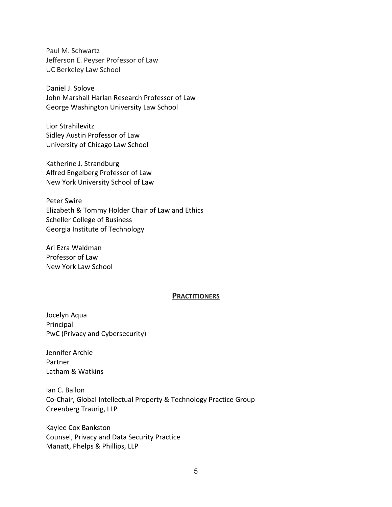Paul M. Schwartz Jefferson E. Peyser Professor of Law UC Berkeley Law School

Daniel J. Solove John Marshall Harlan Research Professor of Law George Washington University Law School

Lior Strahilevitz Sidley Austin Professor of Law University of Chicago Law School

Katherine J. Strandburg Alfred Engelberg Professor of Law New York University School of Law

Peter Swire Elizabeth & Tommy Holder Chair of Law and Ethics Scheller College of Business Georgia Institute of Technology

Ari Ezra Waldman Professor of Law New York Law School

## **PRACTITIONERS**

Jocelyn Aqua Principal PwC (Privacy and Cybersecurity)

Jennifer Archie Partner Latham & Watkins

Ian C. Ballon Co-Chair, Global Intellectual Property & Technology Practice Group Greenberg Traurig, LLP

Kaylee Cox Bankston Counsel, Privacy and Data Security Practice Manatt, Phelps & Phillips, LLP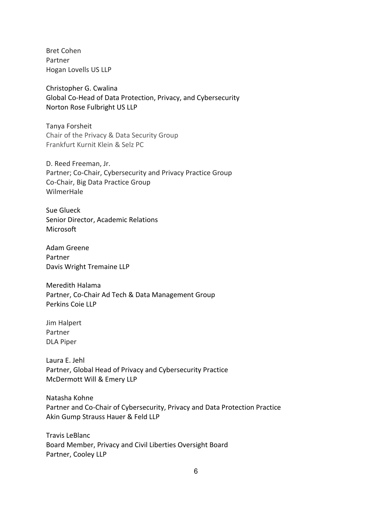Bret Cohen Partner Hogan Lovells US LLP

Christopher G. Cwalina Global Co-Head of Data Protection, Privacy, and Cybersecurity Norton Rose Fulbright US LLP

Tanya Forsheit Chair of the Privacy & Data Security Group Frankfurt Kurnit Klein & Selz PC

D. Reed Freeman, Jr. Partner; Co-Chair, Cybersecurity and Privacy Practice Group Co-Chair, Big Data Practice Group WilmerHale

Sue Glueck Senior Director, Academic Relations Microsoft

Adam Greene Partner Davis Wright Tremaine LLP

Meredith Halama Partner, Co-Chair Ad Tech & Data Management Group Perkins Coie LLP

Jim Halpert Partner DLA Piper

Laura E. Jehl Partner, Global Head of Privacy and Cybersecurity Practice McDermott Will & Emery LLP

Natasha Kohne Partner and Co-Chair of Cybersecurity, Privacy and Data Protection Practice Akin Gump Strauss Hauer & Feld LLP

Travis LeBlanc Board Member, Privacy and Civil Liberties Oversight Board Partner, Cooley LLP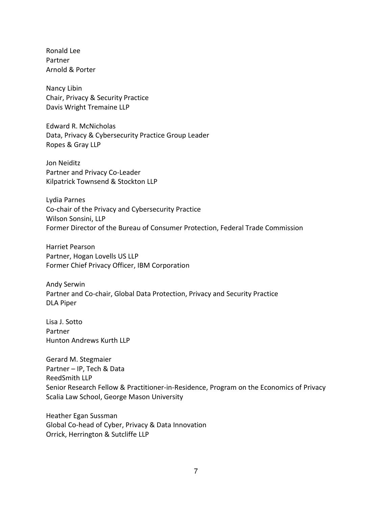Ronald Lee Partner Arnold & Porter

Nancy Libin Chair, Privacy & Security Practice Davis Wright Tremaine LLP

Edward R. McNicholas Data, Privacy & Cybersecurity Practice Group Leader Ropes & Gray LLP

Jon Neiditz Partner and Privacy Co-Leader Kilpatrick Townsend & Stockton LLP

Lydia Parnes Co-chair of the Privacy and Cybersecurity Practice Wilson Sonsini, LLP Former Director of the Bureau of Consumer Protection, Federal Trade Commission

Harriet Pearson Partner, Hogan Lovells US LLP Former Chief Privacy Officer, IBM Corporation

Andy Serwin Partner and Co-chair, Global Data Protection, Privacy and Security Practice DLA Piper

Lisa J. Sotto Partner Hunton Andrews Kurth LLP

Gerard M. Stegmaier Partner – IP, Tech & Data ReedSmith LLP Senior Research Fellow & Practitioner-in-Residence, Program on the Economics of Privacy Scalia Law School, George Mason University

Heather Egan Sussman Global Co-head of Cyber, Privacy & Data Innovation Orrick, Herrington & Sutcliffe LLP